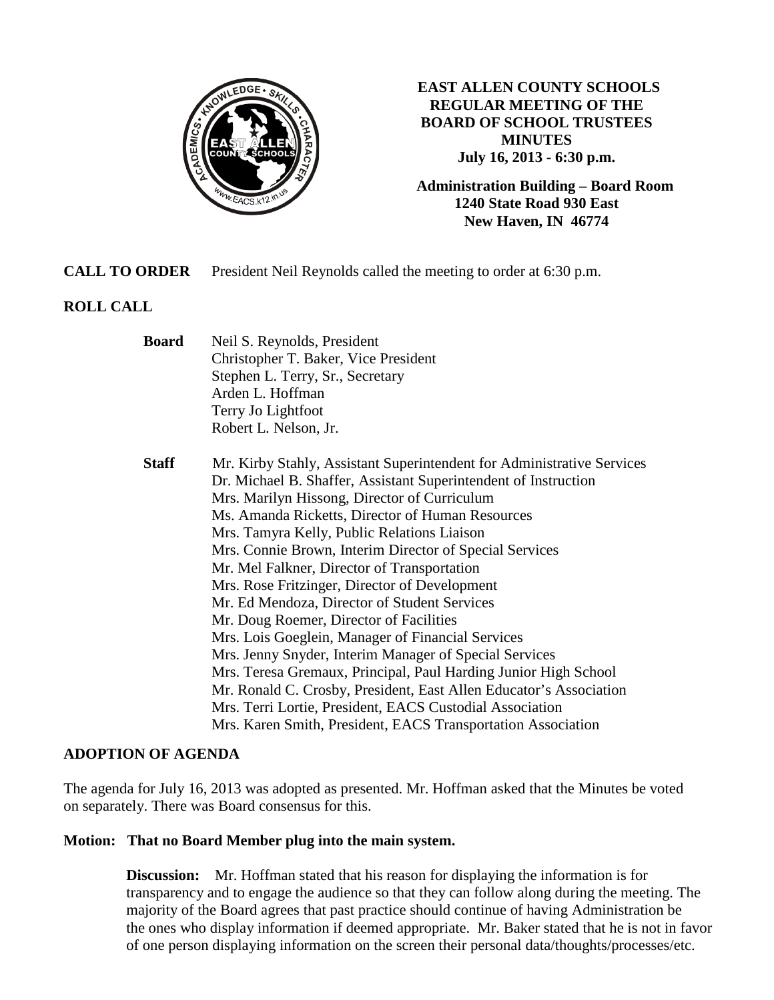

**EAST ALLEN COUNTY SCHOOLS REGULAR MEETING OF THE BOARD OF SCHOOL TRUSTEES MINUTES July 16, 2013 - 6:30 p.m.**

**Administration Building – Board Room 1240 State Road 930 East New Haven, IN 46774**

**CALL TO ORDER** President Neil Reynolds called the meeting to order at 6:30 p.m.

## **ROLL CALL**

| <b>Board</b> | Neil S. Reynolds, President                                            |  |
|--------------|------------------------------------------------------------------------|--|
|              | Christopher T. Baker, Vice President                                   |  |
|              | Stephen L. Terry, Sr., Secretary                                       |  |
|              | Arden L. Hoffman                                                       |  |
|              | Terry Jo Lightfoot                                                     |  |
|              | Robert L. Nelson, Jr.                                                  |  |
| <b>Staff</b> | Mr. Kirby Stahly, Assistant Superintendent for Administrative Services |  |
|              | Dr. Michael B. Shaffer, Assistant Superintendent of Instruction        |  |
|              | Mrs. Marilyn Hissong, Director of Curriculum                           |  |
|              | Ms. Amanda Ricketts, Director of Human Resources                       |  |
|              | Mrs. Tamyra Kelly, Public Relations Liaison                            |  |
|              | Mrs. Connie Brown, Interim Director of Special Services                |  |
|              | Mr. Mel Falkner, Director of Transportation                            |  |
|              | Mrs. Rose Fritzinger, Director of Development                          |  |
|              | Mr. Ed Mendoza, Director of Student Services                           |  |
|              | Mr. Doug Roemer, Director of Facilities                                |  |
|              | Mrs. Lois Goeglein, Manager of Financial Services                      |  |
|              | Mrs. Jenny Snyder, Interim Manager of Special Services                 |  |
|              | Mrs. Teresa Gremaux, Principal, Paul Harding Junior High School        |  |
|              | Mr. Ronald C. Crosby, President, East Allen Educator's Association     |  |
|              | Mrs. Terri Lortie, President, EACS Custodial Association               |  |
|              | Mrs. Karen Smith, President, EACS Transportation Association           |  |
|              |                                                                        |  |

#### **ADOPTION OF AGENDA**

The agenda for July 16, 2013 was adopted as presented. Mr. Hoffman asked that the Minutes be voted on separately. There was Board consensus for this.

#### **Motion: That no Board Member plug into the main system.**

**Discussion:** Mr. Hoffman stated that his reason for displaying the information is for transparency and to engage the audience so that they can follow along during the meeting. The majority of the Board agrees that past practice should continue of having Administration be the ones who display information if deemed appropriate. Mr. Baker stated that he is not in favor of one person displaying information on the screen their personal data/thoughts/processes/etc.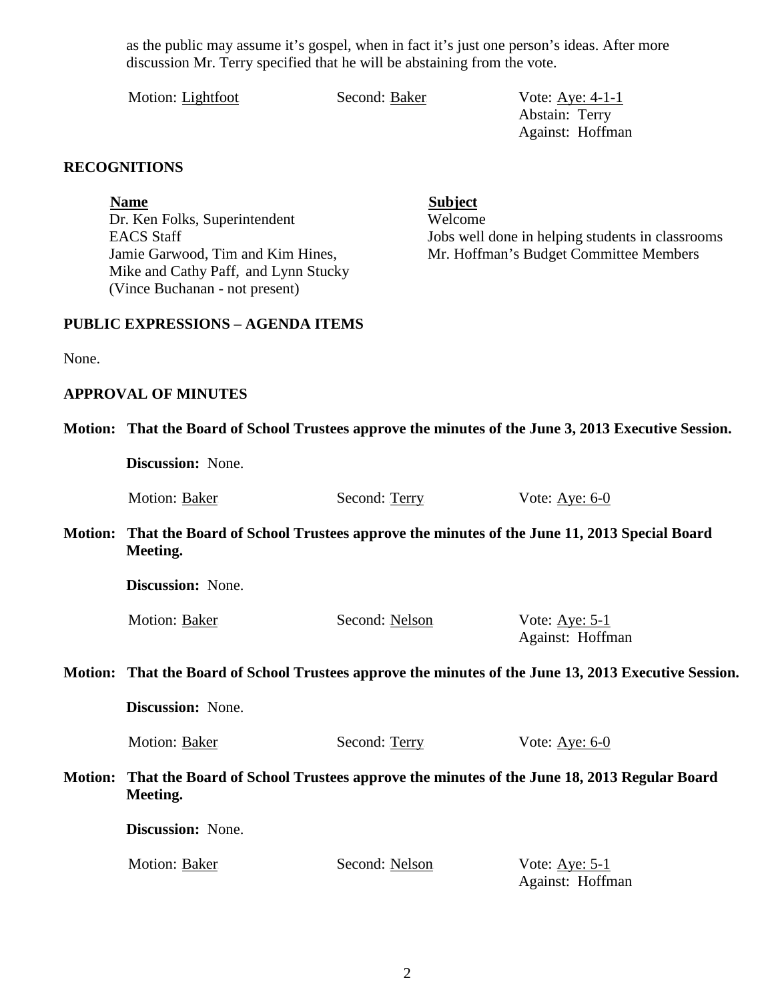as the public may assume it's gospel, when in fact it's just one person's ideas. After more discussion Mr. Terry specified that he will be abstaining from the vote.

Motion: Lightfoot Second: Baker Vote: Aye: 4-1-1

Abstain: Terry Against: Hoffman

## **RECOGNITIONS**

**Name**<br>
Dr. Ken Folks, Superintendent<br>
Welcome Dr. Ken Folks, Superintendent Mike and Cathy Paff, and Lynn Stucky (Vince Buchanan - not present)

EACS Staff Jobs well done in helping students in classrooms Jamie Garwood, Tim and Kim Hines, Mr. Hoffman's Budget Committee Members

#### **PUBLIC EXPRESSIONS – AGENDA ITEMS**

None.

#### **APPROVAL OF MINUTES**

|                | Motion: That the Board of School Trustees approve the minutes of the June 3, 2013 Executive Session.  |                |                                            |
|----------------|-------------------------------------------------------------------------------------------------------|----------------|--------------------------------------------|
|                | Discussion: None.                                                                                     |                |                                            |
|                | Motion: Baker                                                                                         | Second: Terry  | Vote: $Aye: 6-0$                           |
| <b>Motion:</b> | That the Board of School Trustees approve the minutes of the June 11, 2013 Special Board<br>Meeting.  |                |                                            |
|                | Discussion: None.                                                                                     |                |                                            |
|                | Motion: Baker                                                                                         | Second: Nelson | Vote: $\Delta$ ye: 5-1<br>Against: Hoffman |
|                | Motion: That the Board of School Trustees approve the minutes of the June 13, 2013 Executive Session. |                |                                            |
|                | Discussion: None.                                                                                     |                |                                            |
|                | Motion: Baker                                                                                         | Second: Terry  | Vote: $\underline{\text{Aye: 6-0}}$        |
| <b>Motion:</b> | That the Board of School Trustees approve the minutes of the June 18, 2013 Regular Board<br>Meeting.  |                |                                            |
|                | Discussion: None.                                                                                     |                |                                            |
|                | Motion: Baker                                                                                         | Second: Nelson | Vote: Aye: $5-1$<br>Against: Hoffman       |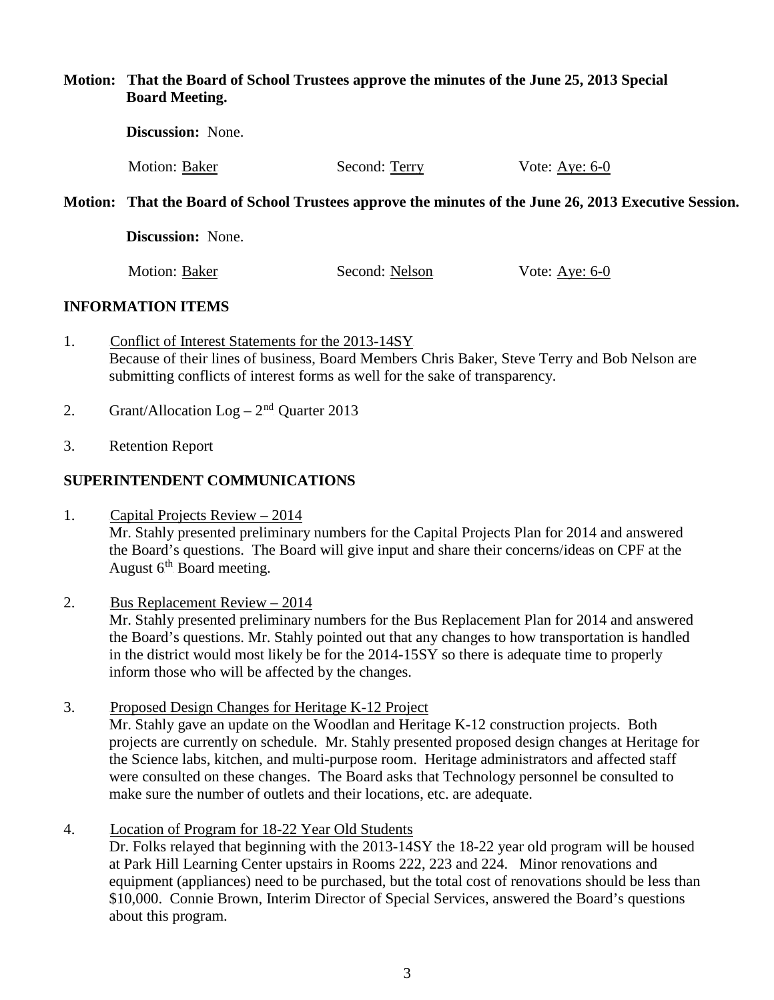#### **Motion: That the Board of School Trustees approve the minutes of the June 25, 2013 Special Board Meeting.**

| <b>Discussion:</b> None.                                                                              |               |                  |
|-------------------------------------------------------------------------------------------------------|---------------|------------------|
| Motion: Baker                                                                                         | Second: Terry | Vote: Aye: $6-0$ |
| Motion: That the Board of School Trustees approve the minutes of the June 26, 2013 Executive Session. |               |                  |
| Discussion: None                                                                                      |               |                  |

Motion: Baker Second: Nelson Vote: Aye: 6-0

### **INFORMATION ITEMS**

- 1. Conflict of Interest Statements for the 2013-14SY Because of their lines of business, Board Members Chris Baker, Steve Terry and Bob Nelson are submitting conflicts of interest forms as well for the sake of transparency.
- 2. Grant/Allocation  $Log 2<sup>nd</sup>$  Quarter 2013
- 3. Retention Report

## **SUPERINTENDENT COMMUNICATIONS**

1. Capital Projects Review  $-2014$ Mr. Stahly presented preliminary numbers for the Capital Projects Plan for 2014 and answered the Board's questions. The Board will give input and share their concerns/ideas on CPF at the August  $6<sup>th</sup>$  Board meeting.

### 2. Bus Replacement Review  $-2014$

Mr. Stahly presented preliminary numbers for the Bus Replacement Plan for 2014 and answered the Board's questions. Mr. Stahly pointed out that any changes to how transportation is handled in the district would most likely be for the 2014-15SY so there is adequate time to properly inform those who will be affected by the changes.

- 3. Proposed Design Changes for Heritage K-12 Project Mr. Stahly gave an update on the Woodlan and Heritage K-12 construction projects. Both projects are currently on schedule. Mr. Stahly presented proposed design changes at Heritage for the Science labs, kitchen, and multi-purpose room. Heritage administrators and affected staff were consulted on these changes. The Board asks that Technology personnel be consulted to make sure the number of outlets and their locations, etc. are adequate.
- 4. Location of Program for 18-22 Year Old Students

Dr. Folks relayed that beginning with the 2013-14SY the 18-22 year old program will be housed at Park Hill Learning Center upstairs in Rooms 222, 223 and 224. Minor renovations and equipment (appliances) need to be purchased, but the total cost of renovations should be less than \$10,000. Connie Brown, Interim Director of Special Services, answered the Board's questions about this program.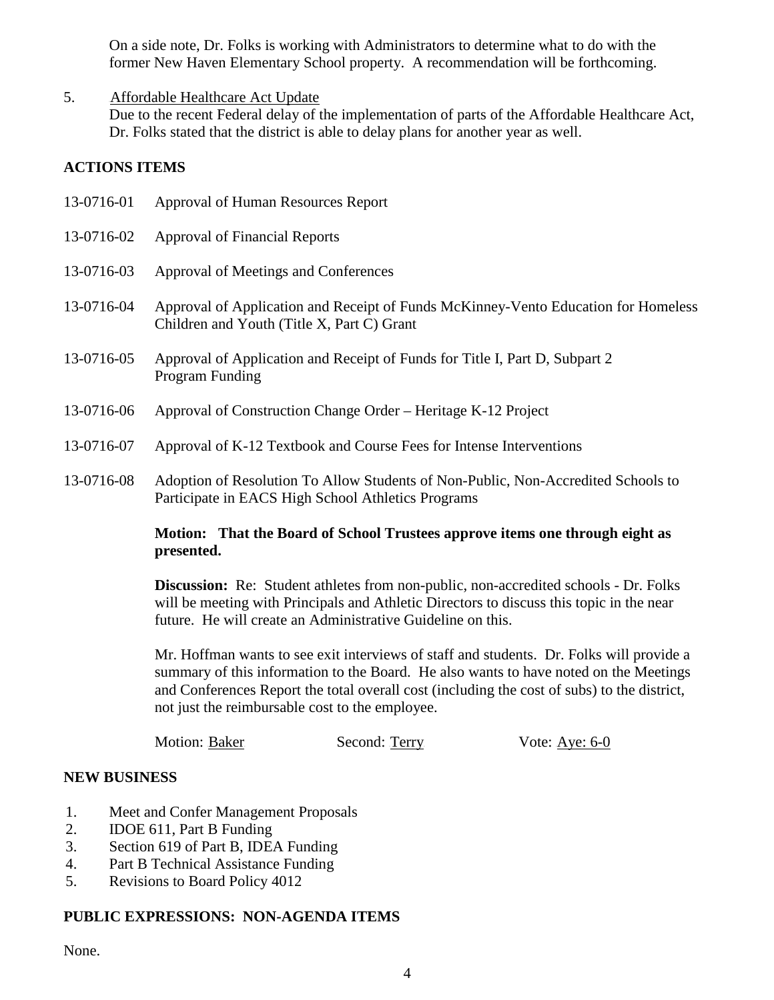On a side note, Dr. Folks is working with Administrators to determine what to do with the former New Haven Elementary School property. A recommendation will be forthcoming.

## 5. Affordable Healthcare Act Update

Due to the recent Federal delay of the implementation of parts of the Affordable Healthcare Act, Dr. Folks stated that the district is able to delay plans for another year as well.

## **ACTIONS ITEMS**

| 13-0716-01 | Approval of Human Resources Report                                                                                                      |
|------------|-----------------------------------------------------------------------------------------------------------------------------------------|
| 13-0716-02 | <b>Approval of Financial Reports</b>                                                                                                    |
| 13-0716-03 | Approval of Meetings and Conferences                                                                                                    |
| 13-0716-04 | Approval of Application and Receipt of Funds McKinney-Vento Education for Homeless<br>Children and Youth (Title X, Part C) Grant        |
| 13-0716-05 | Approval of Application and Receipt of Funds for Title I, Part D, Subpart 2<br>Program Funding                                          |
| 13-0716-06 | Approval of Construction Change Order – Heritage K-12 Project                                                                           |
| 13-0716-07 | Approval of K-12 Textbook and Course Fees for Intense Interventions                                                                     |
| 13-0716-08 | Adoption of Resolution To Allow Students of Non-Public, Non-Accredited Schools to<br>Participate in EACS High School Athletics Programs |

### **Motion: That the Board of School Trustees approve items one through eight as presented.**

**Discussion:** Re: Student athletes from non-public, non-accredited schools - Dr. Folks will be meeting with Principals and Athletic Directors to discuss this topic in the near future. He will create an Administrative Guideline on this.

Mr. Hoffman wants to see exit interviews of staff and students. Dr. Folks will provide a summary of this information to the Board. He also wants to have noted on the Meetings and Conferences Report the total overall cost (including the cost of subs) to the district, not just the reimbursable cost to the employee.

Motion: Baker Second: Terry Vote: Aye: 6-0

### **NEW BUSINESS**

- 1. Meet and Confer Management Proposals
- 2. IDOE 611, Part B Funding
- 3. Section 619 of Part B, IDEA Funding
- 4. Part B Technical Assistance Funding
- 5. Revisions to Board Policy 4012

# **PUBLIC EXPRESSIONS: NON-AGENDA ITEMS**

None.